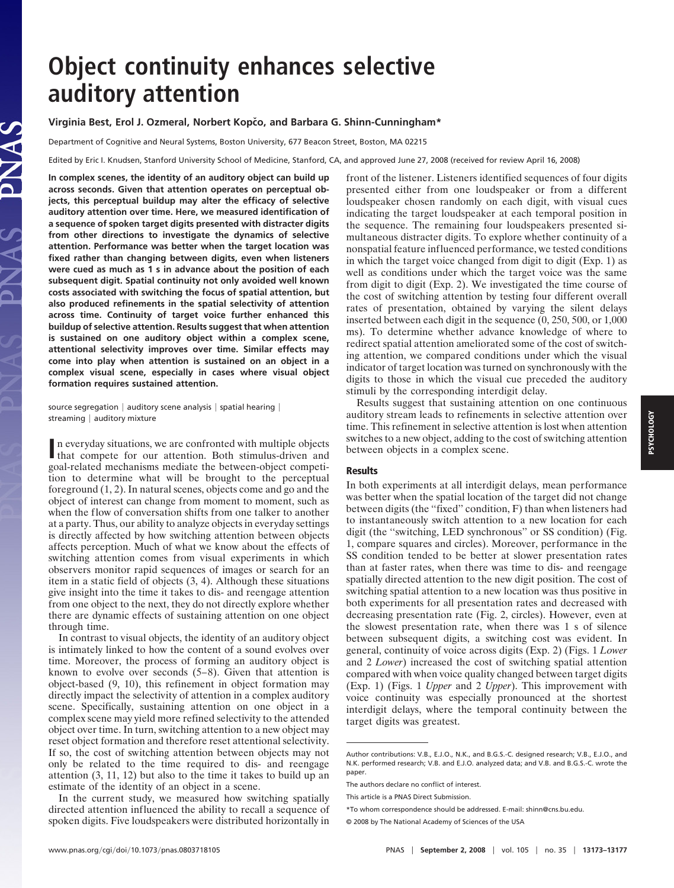# **Object continuity enhances selective auditory attention**

## Virginia Best, Erol J. Ozmeral, Norbert Kopčo, and Barbara G. Shinn-Cunningham<sup>\*</sup>

Department of Cognitive and Neural Systems, Boston University, 677 Beacon Street, Boston, MA 02215

Edited by Eric I. Knudsen, Stanford University School of Medicine, Stanford, CA, and approved June 27, 2008 (received for review April 16, 2008)

**In complex scenes, the identity of an auditory object can build up across seconds. Given that attention operates on perceptual objects, this perceptual buildup may alter the efficacy of selective auditory attention over time. Here, we measured identification of a sequence of spoken target digits presented with distracter digits from other directions to investigate the dynamics of selective attention. Performance was better when the target location was fixed rather than changing between digits, even when listeners were cued as much as 1 s in advance about the position of each subsequent digit. Spatial continuity not only avoided well known costs associated with switching the focus of spatial attention, but also produced refinements in the spatial selectivity of attention across time. Continuity of target voice further enhanced this buildup of selective attention. Results suggest that when attention is sustained on one auditory object within a complex scene, attentional selectivity improves over time. Similar effects may come into play when attention is sustained on an object in a complex visual scene, especially in cases where visual object formation requires sustained attention.**

source segregation  $|$  auditory scene analysis  $|$  spatial hearing  $|$ streaming  $|$  auditory mixture

In everyday situations, we are confronted with multiple objects that compete for our attention. Both stimulus-driven and that compete for our attention. Both stimulus-driven and goal-related mechanisms mediate the between-object competition to determine what will be brought to the perceptual foreground (1, 2). In natural scenes, objects come and go and the object of interest can change from moment to moment, such as when the flow of conversation shifts from one talker to another at a party. Thus, our ability to analyze objects in everyday settings is directly affected by how switching attention between objects affects perception. Much of what we know about the effects of switching attention comes from visual experiments in which observers monitor rapid sequences of images or search for an item in a static field of objects (3, 4). Although these situations give insight into the time it takes to dis- and reengage attention from one object to the next, they do not directly explore whether there are dynamic effects of sustaining attention on one object through time.

In contrast to visual objects, the identity of an auditory object is intimately linked to how the content of a sound evolves over time. Moreover, the process of forming an auditory object is known to evolve over seconds  $(5-8)$ . Given that attention is object-based (9, 10), this refinement in object formation may directly impact the selectivity of attention in a complex auditory scene. Specifically, sustaining attention on one object in a complex scene may yield more refined selectivity to the attended object over time. In turn, switching attention to a new object may reset object formation and therefore reset attentional selectivity. If so, the cost of switching attention between objects may not only be related to the time required to dis- and reengage attention (3, 11, 12) but also to the time it takes to build up an estimate of the identity of an object in a scene.

In the current study, we measured how switching spatially directed attention influenced the ability to recall a sequence of spoken digits. Five loudspeakers were distributed horizontally in front of the listener. Listeners identified sequences of four digits presented either from one loudspeaker or from a different loudspeaker chosen randomly on each digit, with visual cues indicating the target loudspeaker at each temporal position in the sequence. The remaining four loudspeakers presented simultaneous distracter digits. To explore whether continuity of a nonspatial feature influenced performance, we tested conditions in which the target voice changed from digit to digit (Exp. 1) as well as conditions under which the target voice was the same from digit to digit (Exp. 2). We investigated the time course of the cost of switching attention by testing four different overall rates of presentation, obtained by varying the silent delays inserted between each digit in the sequence (0, 250, 500, or 1,000 ms). To determine whether advance knowledge of where to redirect spatial attention ameliorated some of the cost of switching attention, we compared conditions under which the visual indicator of target location was turned on synchronously with the digits to those in which the visual cue preceded the auditory stimuli by the corresponding interdigit delay.

Results suggest that sustaining attention on one continuous auditory stream leads to refinements in selective attention over time. This refinement in selective attention is lost when attention switches to a new object, adding to the cost of switching attention between objects in a complex scene.

### **Results**

In both experiments at all interdigit delays, mean performance was better when the spatial location of the target did not change between digits (the ''fixed'' condition, F) than when listeners had to instantaneously switch attention to a new location for each digit (the ''switching, LED synchronous'' or SS condition) (Fig. 1, compare squares and circles). Moreover, performance in the SS condition tended to be better at slower presentation rates than at faster rates, when there was time to dis- and reengage spatially directed attention to the new digit position. The cost of switching spatial attention to a new location was thus positive in both experiments for all presentation rates and decreased with decreasing presentation rate (Fig. 2, circles). However, even at the slowest presentation rate, when there was 1 s of silence between subsequent digits, a switching cost was evident. In general, continuity of voice across digits (Exp. 2) (Figs. 1 *Lower* and 2 *Lower*) increased the cost of switching spatial attention compared with when voice quality changed between target digits (Exp. 1) (Figs. 1 *Upper* and 2 *Upper*). This improvement with voice continuity was especially pronounced at the shortest interdigit delays, where the temporal continuity between the target digits was greatest.

Author contributions: V.B., E.J.O., N.K., and B.G.S.-C. designed research; V.B., E.J.O., and N.K. performed research; V.B. and E.J.O. analyzed data; and V.B. and B.G.S.-C. wrote the paper.

The authors declare no conflict of interest.

This article is a PNAS Direct Submission.

<sup>\*</sup>To whom correspondence should be addressed. E-mail: shinn@cns.bu.edu.

<sup>© 2008</sup> by The National Academy of Sciences of the USA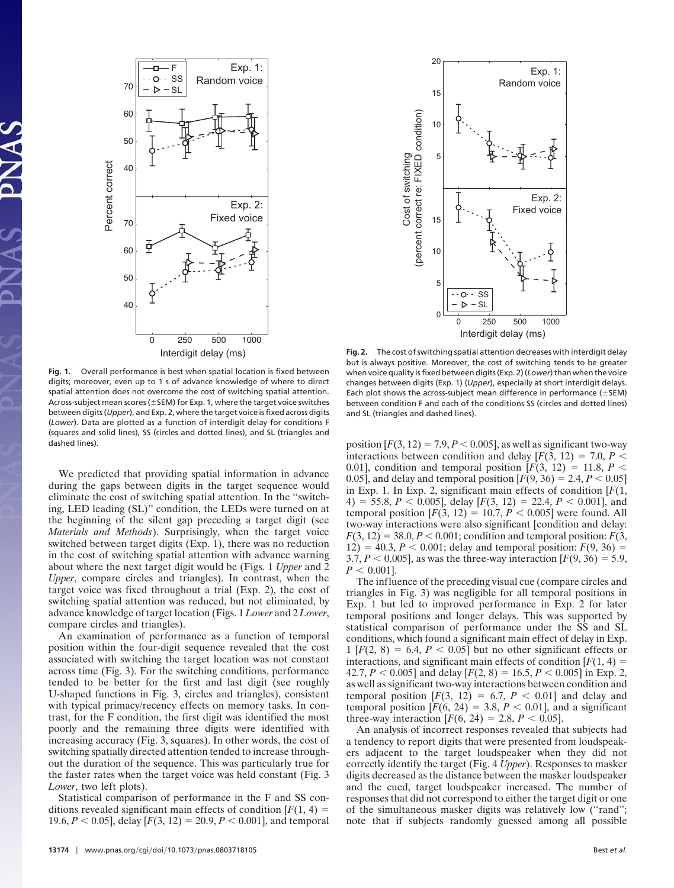

**Fig. 1.** Overall performance is best when spatial location is fixed between digits; moreover, even up to 1 s of advance knowledge of where to direct spatial attention does not overcome the cost of switching spatial attention. Across-subject mean scores ( $\pm$ SEM) for Exp. 1, where the target voice switches between digits (*Upper*), and Exp. 2, where the target voice is fixed across digits (*Lower*). Data are plotted as a function of interdigit delay for conditions F (squares and solid lines), SS (circles and dotted lines), and SL (triangles and dashed lines).

We predicted that providing spatial information in advance during the gaps between digits in the target sequence would eliminate the cost of switching spatial attention. In the ''switching, LED leading (SL)'' condition, the LEDs were turned on at the beginning of the silent gap preceding a target digit (see *Materials and Methods*). Surprisingly, when the target voice switched between target digits (Exp. 1), there was no reduction in the cost of switching spatial attention with advance warning about where the next target digit would be (Figs. 1 *Upper* and 2 *Upper*, compare circles and triangles). In contrast, when the target voice was fixed throughout a trial (Exp. 2), the cost of switching spatial attention was reduced, but not eliminated, by advance knowledge of target location (Figs. 1 *Lower* and 2 *Lower*, compare circles and triangles).

An examination of performance as a function of temporal position within the four-digit sequence revealed that the cost associated with switching the target location was not constant across time (Fig. 3). For the switching conditions, performance tended to be better for the first and last digit (see roughly U-shaped functions in Fig. 3, circles and triangles), consistent with typical primacy/recency effects on memory tasks. In contrast, for the F condition, the first digit was identified the most poorly and the remaining three digits were identified with increasing accuracy (Fig. 3, squares). In other words, the cost of switching spatially directed attention tended to increase throughout the duration of the sequence. This was particularly true for the faster rates when the target voice was held constant (Fig. 3 *Lower*, two left plots).

Statistical comparison of performance in the F and SS conditions revealed significant main effects of condition  $[F(1, 4) =$ 19.6,  $P < 0.05$ ], delay  $[F(3, 12) = 20.9, P < 0.001]$ , and temporal



**Fig. 2.** The cost of switching spatial attention decreases with interdigit delay but is always positive. Moreover, the cost of switching tends to be greater when voice quality is fixed between digits (Exp. 2) (*Lower*) than when the voice changes between digits (Exp. 1) (*Upper*), especially at short interdigit delays. Each plot shows the across-subject mean difference in performance  $(\pm$ SEM) between condition F and each of the conditions SS (circles and dotted lines) and SL (triangles and dashed lines).

position  $[F(3, 12) = 7.9, P < 0.005]$ , as well as significant two-way interactions between condition and delay  $[F(3, 12) = 7.0, P \le$ 0.01], condition and temporal position  $[F(3, 12) = 11.8, P \le$ 0.05], and delay and temporal position  $[F(9, 36) = 2.4, P < 0.05]$ in Exp. 1. In Exp. 2, significant main effects of condition [*F*(1,  $(4) = 55.8, P < 0.005$ , delay  $[F(3, 12) = 22.4, P < 0.001]$ , and temporal position  $[F(3, 12) = 10.7, P < 0.005]$  were found. All two-way interactions were also significant [condition and delay:  $F(3, 12) = 38.0, P < 0.001$ ; condition and temporal position:  $F(3, 12)$  $12) = 40.3, P < 0.001$ ; delay and temporal position:  $F(9, 36) =$ 3.7,  $P < 0.005$ ], as was the three-way interaction  $[F(9, 36) = 5.9$ ,  $P < 0.001$ .

The influence of the preceding visual cue (compare circles and triangles in Fig. 3) was negligible for all temporal positions in Exp. 1 but led to improved performance in Exp. 2 for later temporal positions and longer delays. This was supported by statistical comparison of performance under the SS and SL conditions, which found a significant main effect of delay in Exp.  $1 [F(2, 8) = 6.4, P < 0.05]$  but no other significant effects or interactions, and significant main effects of condition  $[F(1, 4) =$ 42.7,  $P < 0.005$ ] and delay  $[F(2, 8) = 16.5, P < 0.005]$  in Exp. 2, as well as significant two-way interactions between condition and temporal position  $[F(3, 12) = 6.7, P < 0.01]$  and delay and temporal position  $[F(6, 24) = 3.8, P < 0.01]$ , and a significant three-way interaction  $[F(6, 24) = 2.8, P < 0.05]$ .

An analysis of incorrect responses revealed that subjects had a tendency to report digits that were presented from loudspeakers adjacent to the target loudspeaker when they did not correctly identify the target (Fig. 4 *Upper*). Responses to masker digits decreased as the distance between the masker loudspeaker and the cued, target loudspeaker increased. The number of responses that did not correspond to either the target digit or one of the simultaneous masker digits was relatively low (''rand''; note that if subjects randomly guessed among all possible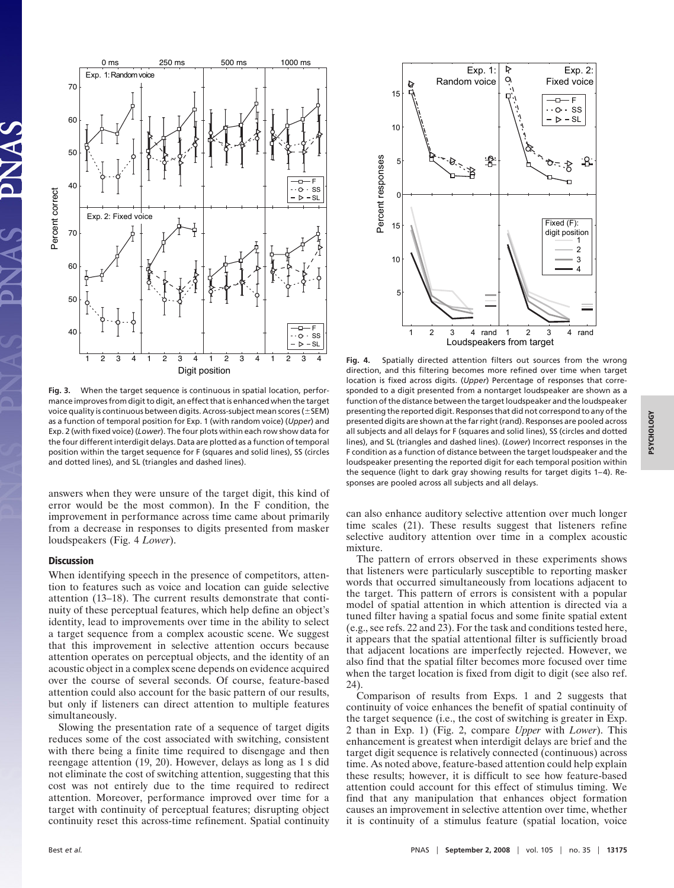

**Fig. 3.** When the target sequence is continuous in spatial location, performance improves from digit to digit, an effect that is enhanced when the target voice quality is continuous between digits. Across-subject mean scores ( $\pm$ SEM) as a function of temporal position for Exp. 1 (with random voice) (*Upper*) and Exp. 2 (with fixed voice) (*Lower*). The four plots within each row show data for the four different interdigit delays. Data are plotted as a function of temporal position within the target sequence for F (squares and solid lines), SS (circles and dotted lines), and SL (triangles and dashed lines).

answers when they were unsure of the target digit, this kind of error would be the most common). In the F condition, the improvement in performance across time came about primarily from a decrease in responses to digits presented from masker loudspeakers (Fig. 4 *Lower*).

#### **Discussion**

When identifying speech in the presence of competitors, attention to features such as voice and location can guide selective attention (13–18). The current results demonstrate that continuity of these perceptual features, which help define an object's identity, lead to improvements over time in the ability to select a target sequence from a complex acoustic scene. We suggest that this improvement in selective attention occurs because attention operates on perceptual objects, and the identity of an acoustic object in a complex scene depends on evidence acquired over the course of several seconds. Of course, feature-based attention could also account for the basic pattern of our results, but only if listeners can direct attention to multiple features simultaneously.

Slowing the presentation rate of a sequence of target digits reduces some of the cost associated with switching, consistent with there being a finite time required to disengage and then reengage attention (19, 20). However, delays as long as 1 s did not eliminate the cost of switching attention, suggesting that this cost was not entirely due to the time required to redirect attention. Moreover, performance improved over time for a target with continuity of perceptual features; disrupting object continuity reset this across-time refinement. Spatial continuity



**Fig. 4.** Spatially directed attention filters out sources from the wrong direction, and this filtering becomes more refined over time when target location is fixed across digits. (*Upper*) Percentage of responses that corresponded to a digit presented from a nontarget loudspeaker are shown as a function of the distance between the target loudspeaker and the loudspeaker presenting the reported digit. Responses that did not correspond to any of the presented digits are shown at the far right (rand). Responses are pooled across all subjects and all delays for F (squares and solid lines), SS (circles and dotted lines), and SL (triangles and dashed lines). (*Lower*) Incorrect responses in the F condition as a function of distance between the target loudspeaker and the loudspeaker presenting the reported digit for each temporal position within the sequence (light to dark gray showing results for target digits 1-4). Responses are pooled across all subjects and all delays.

can also enhance auditory selective attention over much longer time scales (21). These results suggest that listeners refine selective auditory attention over time in a complex acoustic mixture.

The pattern of errors observed in these experiments shows that listeners were particularly susceptible to reporting masker words that occurred simultaneously from locations adjacent to the target. This pattern of errors is consistent with a popular model of spatial attention in which attention is directed via a tuned filter having a spatial focus and some finite spatial extent (e.g., see refs. 22 and 23). For the task and conditions tested here, it appears that the spatial attentional filter is sufficiently broad that adjacent locations are imperfectly rejected. However, we also find that the spatial filter becomes more focused over time when the target location is fixed from digit to digit (see also ref. 24).

Comparison of results from Exps. 1 and 2 suggests that continuity of voice enhances the benefit of spatial continuity of the target sequence (i.e., the cost of switching is greater in Exp. 2 than in Exp. 1) (Fig. 2, compare *Upper* with *Lower*). This enhancement is greatest when interdigit delays are brief and the target digit sequence is relatively connected (continuous) across time. As noted above, feature-based attention could help explain these results; however, it is difficult to see how feature-based attention could account for this effect of stimulus timing. We find that any manipulation that enhances object formation causes an improvement in selective attention over time, whether it is continuity of a stimulus feature (spatial location, voice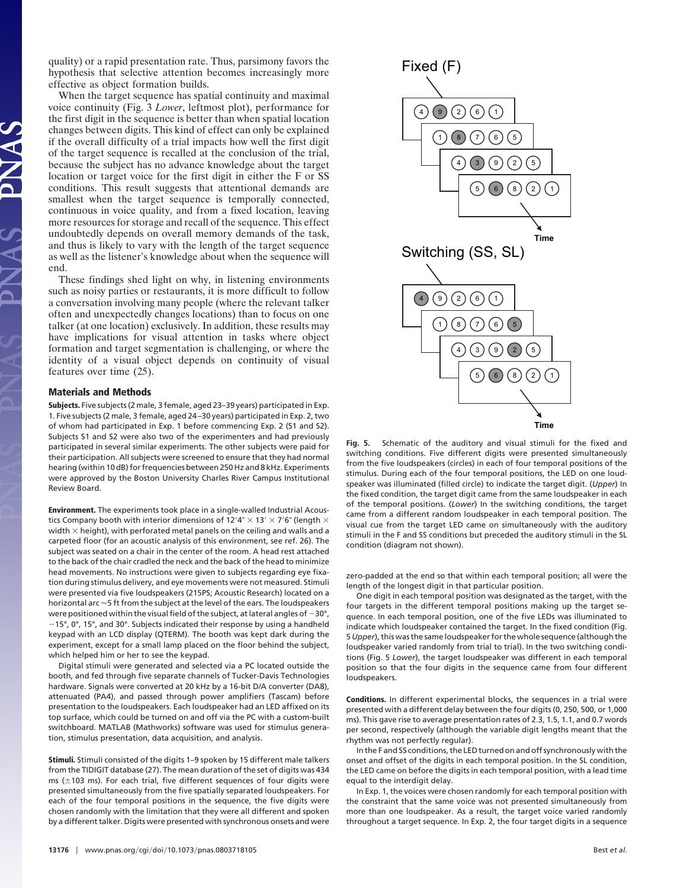quality) or a rapid presentation rate. Thus, parsimony favors the hypothesis that selective attention becomes increasingly more effective as object formation builds.

When the target sequence has spatial continuity and maximal voice continuity (Fig. 3 *Lower*, leftmost plot), performance for the first digit in the sequence is better than when spatial location changes between digits. This kind of effect can only be explained if the overall difficulty of a trial impacts how well the first digit of the target sequence is recalled at the conclusion of the trial, because the subject has no advance knowledge about the target location or target voice for the first digit in either the F or SS conditions. This result suggests that attentional demands are smallest when the target sequence is temporally connected, continuous in voice quality, and from a fixed location, leaving more resources for storage and recall of the sequence. This effect undoubtedly depends on overall memory demands of the task, and thus is likely to vary with the length of the target sequence as well as the listener's knowledge about when the sequence will end.

These findings shed light on why, in listening environments such as noisy parties or restaurants, it is more difficult to follow a conversation involving many people (where the relevant talker often and unexpectedly changes locations) than to focus on one talker (at one location) exclusively. In addition, these results may have implications for visual attention in tasks where object formation and target segmentation is challenging, or where the identity of a visual object depends on continuity of visual features over time (25).

#### **Materials and Methods**

**Subjects.** Five subjects (2 male, 3 female, aged 23–39 years) participated in Exp. 1. Five subjects (2 male, 3 female, aged 24 –30 years) participated in Exp. 2, two of whom had participated in Exp. 1 before commencing Exp. 2 (S1 and S2). Subjects S1 and S2 were also two of the experimenters and had previously participated in several similar experiments. The other subjects were paid for their participation. All subjects were screened to ensure that they had normal hearing (within 10 dB) for frequencies between 250 Hz and 8 kHz. Experiments were approved by the Boston University Charles River Campus Institutional Review Board.

**Environment.** The experiments took place in a single-walled Industrial Acoustics Company booth with interior dimensions of 12'4"  $\times$  13'  $\times$  7'6" (length  $\times$ width  $\times$  height), with perforated metal panels on the ceiling and walls and a carpeted floor (for an acoustic analysis of this environment, see ref. 26). The subject was seated on a chair in the center of the room. A head rest attached to the back of the chair cradled the neck and the back of the head to minimize head movements. No instructions were given to subjects regarding eye fixation during stimulus delivery, and eye movements were not measured. Stimuli were presented via five loudspeakers (215PS; Acoustic Research) located on a horizontal arc  $\approx$  5 ft from the subject at the level of the ears. The loudspeakers were positioned within the visual field of the subject, at lateral angles of  $-30^{\circ}$ , 15°, 0°, 15°, and 30°. Subjects indicated their response by using a handheld keypad with an LCD display (QTERM). The booth was kept dark during the experiment, except for a small lamp placed on the floor behind the subject, which helped him or her to see the keypad.

Digital stimuli were generated and selected via a PC located outside the booth, and fed through five separate channels of Tucker-Davis Technologies hardware. Signals were converted at 20 kHz by a 16-bit D/A converter (DA8), attenuated (PA4), and passed through power amplifiers (Tascam) before presentation to the loudspeakers. Each loudspeaker had an LED affixed on its top surface, which could be turned on and off via the PC with a custom-built switchboard. MATLAB (Mathworks) software was used for stimulus generation, stimulus presentation, data acquisition, and analysis.

**Stimuli.** Stimuli consisted of the digits 1–9 spoken by 15 different male talkers from the TIDIGIT database (27). The mean duration of the set of digits was 434 ms ( $\pm$ 103 ms). For each trial, five different sequences of four digits were presented simultaneously from the five spatially separated loudspeakers. For each of the four temporal positions in the sequence, the five digits were chosen randomly with the limitation that they were all different and spoken by a different talker. Digits were presented with synchronous onsets and were



**Fig. 5.** Schematic of the auditory and visual stimuli for the fixed and switching conditions. Five different digits were presented simultaneously from the five loudspeakers (circles) in each of four temporal positions of the stimulus. During each of the four temporal positions, the LED on one loudspeaker was illuminated (filled circle) to indicate the target digit. (*Upper*) In the fixed condition, the target digit came from the same loudspeaker in each of the temporal positions. (*Lower*) In the switching conditions, the target came from a different random loudspeaker in each temporal position. The visual cue from the target LED came on simultaneously with the auditory stimuli in the F and SS conditions but preceded the auditory stimuli in the SL condition (diagram not shown).

zero-padded at the end so that within each temporal position; all were the length of the longest digit in that particular position.

One digit in each temporal position was designated as the target, with the four targets in the different temporal positions making up the target sequence. In each temporal position, one of the five LEDs was illuminated to indicate which loudspeaker contained the target. In the fixed condition (Fig. 5 *Upper*), this was the same loudspeaker for the whole sequence (although the loudspeaker varied randomly from trial to trial). In the two switching conditions (Fig. 5 *Lower*), the target loudspeaker was different in each temporal position so that the four digits in the sequence came from four different loudspeakers.

**Conditions.** In different experimental blocks, the sequences in a trial were presented with a different delay between the four digits (0, 250, 500, or 1,000 ms). This gave rise to average presentation rates of 2.3, 1.5, 1.1, and 0.7 words per second, respectively (although the variable digit lengths meant that the rhythm was not perfectly regular).

In the F and SS conditions, the LED turned on and off synchronously with the onset and offset of the digits in each temporal position. In the SL condition, the LED came on before the digits in each temporal position, with a lead time equal to the interdigit delay.

In Exp. 1, the voices were chosen randomly for each temporal position with the constraint that the same voice was not presented simultaneously from more than one loudspeaker. As a result, the target voice varied randomly throughout a target sequence. In Exp. 2, the four target digits in a sequence